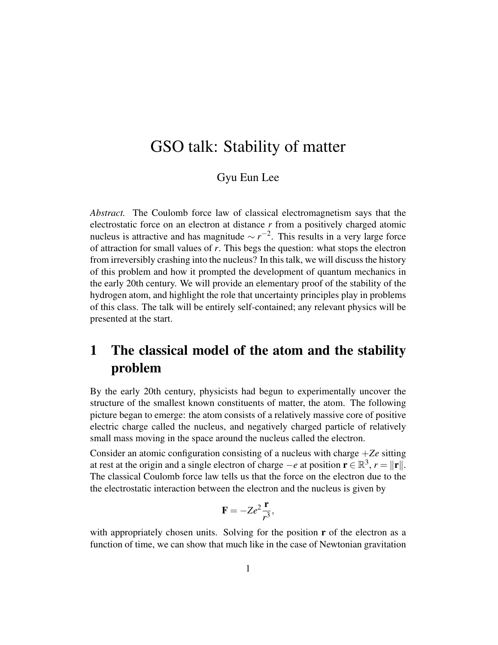# GSO talk: Stability of matter

#### Gyu Eun Lee

*Abstract.* The Coulomb force law of classical electromagnetism says that the electrostatic force on an electron at distance *r* from a positively charged atomic nucleus is attractive and has magnitude  $\sim r^{-2}$ . This results in a very large force of attraction for small values of *r*. This begs the question: what stops the electron from irreversibly crashing into the nucleus? In this talk, we will discuss the history of this problem and how it prompted the development of quantum mechanics in the early 20th century. We will provide an elementary proof of the stability of the hydrogen atom, and highlight the role that uncertainty principles play in problems of this class. The talk will be entirely self-contained; any relevant physics will be presented at the start.

## 1 The classical model of the atom and the stability problem

By the early 20th century, physicists had begun to experimentally uncover the structure of the smallest known constituents of matter, the atom. The following picture began to emerge: the atom consists of a relatively massive core of positive electric charge called the nucleus, and negatively charged particle of relatively small mass moving in the space around the nucleus called the electron.

Consider an atomic configuration consisting of a nucleus with charge +*Ze* sitting at rest at the origin and a single electron of charge  $-e$  at position  $\mathbf{r} \in \mathbb{R}^3$ ,  $r = ||\mathbf{r}||$ . The classical Coulomb force law tells us that the force on the electron due to the the electrostatic interaction between the electron and the nucleus is given by

$$
\mathbf{F} = -Ze^2 \frac{\mathbf{r}}{r^3},
$$

with appropriately chosen units. Solving for the position  $\mathbf r$  of the electron as a function of time, we can show that much like in the case of Newtonian gravitation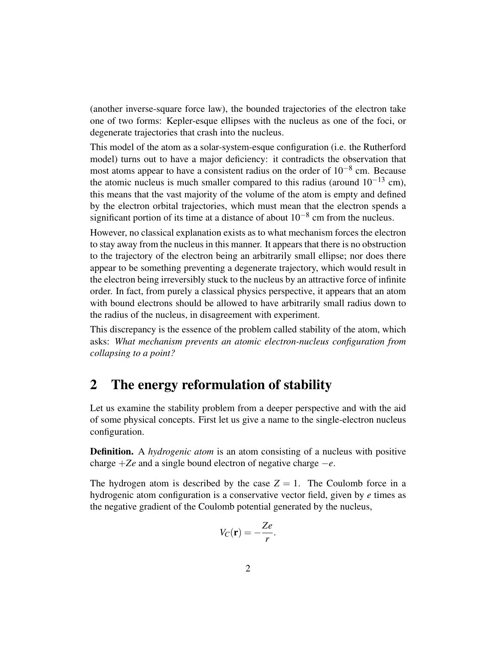(another inverse-square force law), the bounded trajectories of the electron take one of two forms: Kepler-esque ellipses with the nucleus as one of the foci, or degenerate trajectories that crash into the nucleus.

This model of the atom as a solar-system-esque configuration (i.e. the Rutherford model) turns out to have a major deficiency: it contradicts the observation that most atoms appear to have a consistent radius on the order of  $10^{-8}$  cm. Because the atomic nucleus is much smaller compared to this radius (around  $10^{-13}$  cm), this means that the vast majority of the volume of the atom is empty and defined by the electron orbital trajectories, which must mean that the electron spends a significant portion of its time at a distance of about  $10^{-8}$  cm from the nucleus.

However, no classical explanation exists as to what mechanism forces the electron to stay away from the nucleus in this manner. It appears that there is no obstruction to the trajectory of the electron being an arbitrarily small ellipse; nor does there appear to be something preventing a degenerate trajectory, which would result in the electron being irreversibly stuck to the nucleus by an attractive force of infinite order. In fact, from purely a classical physics perspective, it appears that an atom with bound electrons should be allowed to have arbitrarily small radius down to the radius of the nucleus, in disagreement with experiment.

This discrepancy is the essence of the problem called stability of the atom, which asks: *What mechanism prevents an atomic electron-nucleus configuration from collapsing to a point?*

### 2 The energy reformulation of stability

Let us examine the stability problem from a deeper perspective and with the aid of some physical concepts. First let us give a name to the single-electron nucleus configuration.

Definition. A *hydrogenic atom* is an atom consisting of a nucleus with positive charge +*Ze* and a single bound electron of negative charge −*e*.

The hydrogen atom is described by the case  $Z = 1$ . The Coulomb force in a hydrogenic atom configuration is a conservative vector field, given by *e* times as the negative gradient of the Coulomb potential generated by the nucleus,

$$
V_C(\mathbf{r}) = -\frac{Ze}{r}.
$$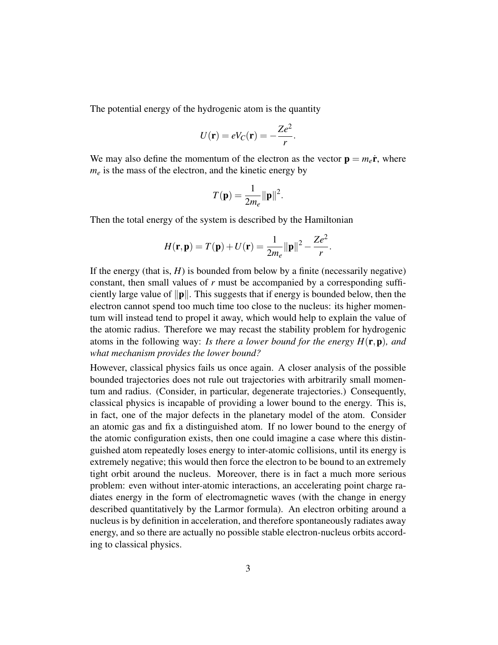The potential energy of the hydrogenic atom is the quantity

$$
U(\mathbf{r}) = eV_C(\mathbf{r}) = -\frac{Ze^2}{r}.
$$

We may also define the momentum of the electron as the vector  $\mathbf{p} = m_e \dot{\mathbf{r}}$ , where  $m_e$  is the mass of the electron, and the kinetic energy by

$$
T(\mathbf{p}) = \frac{1}{2m_e} ||\mathbf{p}||^2.
$$

Then the total energy of the system is described by the Hamiltonian

$$
H(\mathbf{r}, \mathbf{p}) = T(\mathbf{p}) + U(\mathbf{r}) = \frac{1}{2m_e} ||\mathbf{p}||^2 - \frac{Ze^2}{r}.
$$

If the energy (that is,  $H$ ) is bounded from below by a finite (necessarily negative) constant, then small values of *r* must be accompanied by a corresponding sufficiently large value of  $\|\mathbf{p}\|$ . This suggests that if energy is bounded below, then the electron cannot spend too much time too close to the nucleus: its higher momentum will instead tend to propel it away, which would help to explain the value of the atomic radius. Therefore we may recast the stability problem for hydrogenic atoms in the following way: *Is there a lower bound for the energy H*(r,p)*, and what mechanism provides the lower bound?*

However, classical physics fails us once again. A closer analysis of the possible bounded trajectories does not rule out trajectories with arbitrarily small momentum and radius. (Consider, in particular, degenerate trajectories.) Consequently, classical physics is incapable of providing a lower bound to the energy. This is, in fact, one of the major defects in the planetary model of the atom. Consider an atomic gas and fix a distinguished atom. If no lower bound to the energy of the atomic configuration exists, then one could imagine a case where this distinguished atom repeatedly loses energy to inter-atomic collisions, until its energy is extremely negative; this would then force the electron to be bound to an extremely tight orbit around the nucleus. Moreover, there is in fact a much more serious problem: even without inter-atomic interactions, an accelerating point charge radiates energy in the form of electromagnetic waves (with the change in energy described quantitatively by the Larmor formula). An electron orbiting around a nucleus is by definition in acceleration, and therefore spontaneously radiates away energy, and so there are actually no possible stable electron-nucleus orbits according to classical physics.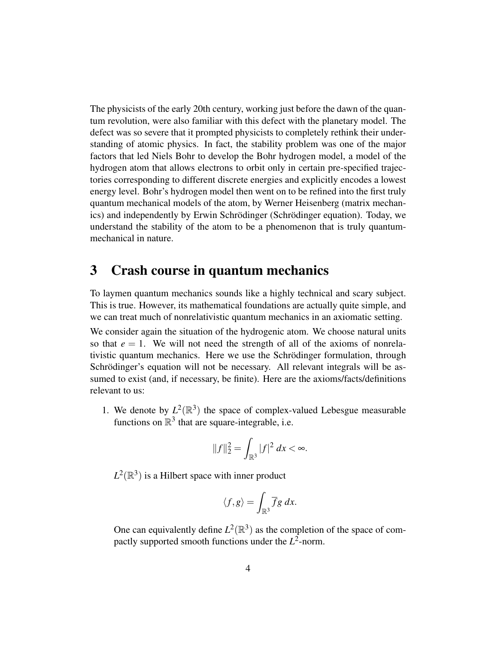The physicists of the early 20th century, working just before the dawn of the quantum revolution, were also familiar with this defect with the planetary model. The defect was so severe that it prompted physicists to completely rethink their understanding of atomic physics. In fact, the stability problem was one of the major factors that led Niels Bohr to develop the Bohr hydrogen model, a model of the hydrogen atom that allows electrons to orbit only in certain pre-specified trajectories corresponding to different discrete energies and explicitly encodes a lowest energy level. Bohr's hydrogen model then went on to be refined into the first truly quantum mechanical models of the atom, by Werner Heisenberg (matrix mechanics) and independently by Erwin Schrödinger (Schrödinger equation). Today, we understand the stability of the atom to be a phenomenon that is truly quantummechanical in nature.

### 3 Crash course in quantum mechanics

To laymen quantum mechanics sounds like a highly technical and scary subject. This is true. However, its mathematical foundations are actually quite simple, and we can treat much of nonrelativistic quantum mechanics in an axiomatic setting.

We consider again the situation of the hydrogenic atom. We choose natural units so that  $e = 1$ . We will not need the strength of all of the axioms of nonrelativistic quantum mechanics. Here we use the Schrödinger formulation, through Schrödinger's equation will not be necessary. All relevant integrals will be assumed to exist (and, if necessary, be finite). Here are the axioms/facts/definitions relevant to us:

1. We denote by  $L^2(\mathbb{R}^3)$  the space of complex-valued Lebesgue measurable functions on  $\mathbb{R}^3$  that are square-integrable, i.e.

$$
||f||_2^2 = \int_{\mathbb{R}^3} |f|^2 \, dx < \infty.
$$

 $L^2(\mathbb{R}^3)$  is a Hilbert space with inner product

$$
\langle f,g\rangle=\int_{\mathbb{R}^3}\overline{f}g\ dx.
$$

One can equivalently define  $L^2(\mathbb{R}^3)$  as the completion of the space of compactly supported smooth functions under the *L* 2 -norm.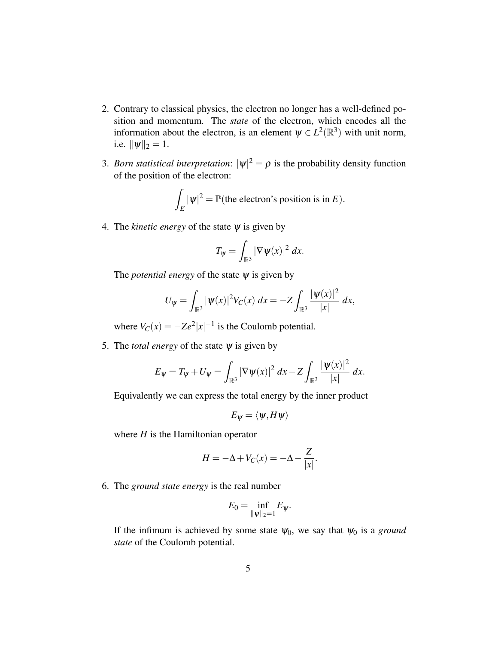- 2. Contrary to classical physics, the electron no longer has a well-defined position and momentum. The *state* of the electron, which encodes all the information about the electron, is an element  $\psi \in L^2(\mathbb{R}^3)$  with unit norm, i.e.  $\|\psi\|_2 = 1$ .
- 3. *Born statistical interpretation*:  $|\psi|^2 = \rho$  is the probability density function of the position of the electron:

$$
\int_E |\psi|^2 = \mathbb{P}(\text{the electron's position is in } E).
$$

4. The *kinetic energy* of the state  $\psi$  is given by

$$
T_{\psi} = \int_{\mathbb{R}^3} |\nabla \psi(x)|^2 dx.
$$

The *potential energy* of the state  $\psi$  is given by

$$
U_{\psi} = \int_{\mathbb{R}^3} |\psi(x)|^2 V_C(x) \ dx = -Z \int_{\mathbb{R}^3} \frac{|\psi(x)|^2}{|x|} \ dx,
$$

where  $V_C(x) = -Ze^2|x|^{-1}$  is the Coulomb potential.

5. The *total energy* of the state  $\psi$  is given by

$$
E_{\psi} = T_{\psi} + U_{\psi} = \int_{\mathbb{R}^3} |\nabla \psi(x)|^2 \, dx - Z \int_{\mathbb{R}^3} \frac{|\psi(x)|^2}{|x|} \, dx.
$$

Equivalently we can express the total energy by the inner product

$$
E_{\psi} = \langle \psi, H \psi \rangle
$$

where *H* is the Hamiltonian operator

$$
H = -\Delta + V_C(x) = -\Delta - \frac{Z}{|x|}.
$$

6. The *ground state energy* is the real number

$$
E_0=\inf_{\|\psi\|_2=1}E_{\psi}.
$$

If the infimum is achieved by some state  $\psi_0$ , we say that  $\psi_0$  is a *ground state* of the Coulomb potential.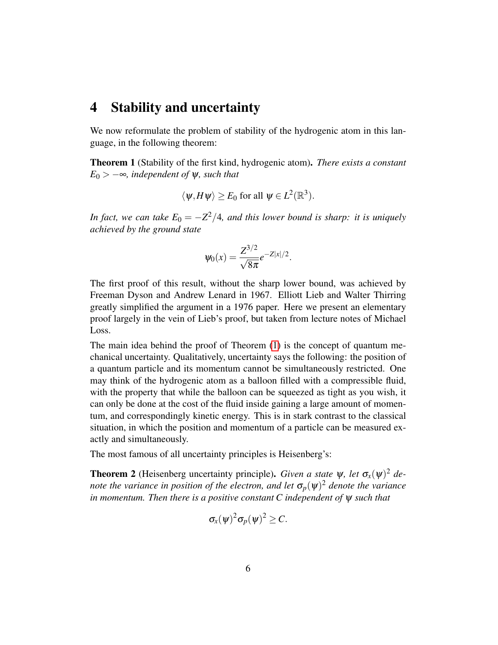#### 4 Stability and uncertainty

We now reformulate the problem of stability of the hydrogenic atom in this language, in the following theorem:

<span id="page-5-0"></span>Theorem 1 (Stability of the first kind, hydrogenic atom). *There exists a constant*  $E_0$  >  $-\infty$ *, independent of*  $\psi$ *, such that* 

$$
\langle \psi, H\psi \rangle \ge E_0
$$
 for all  $\psi \in L^2(\mathbb{R}^3)$ .

*In fact, we can take*  $E_0 = -Z^2/4$ *, and this lower bound is sharp: it is uniquely achieved by the ground state*

$$
\psi_0(x) = \frac{Z^{3/2}}{\sqrt{8\pi}}e^{-Z|x|/2}.
$$

The first proof of this result, without the sharp lower bound, was achieved by Freeman Dyson and Andrew Lenard in 1967. Elliott Lieb and Walter Thirring greatly simplified the argument in a 1976 paper. Here we present an elementary proof largely in the vein of Lieb's proof, but taken from lecture notes of Michael Loss.

The main idea behind the proof of Theorem [\(1\)](#page-5-0) is the concept of quantum mechanical uncertainty. Qualitatively, uncertainty says the following: the position of a quantum particle and its momentum cannot be simultaneously restricted. One may think of the hydrogenic atom as a balloon filled with a compressible fluid, with the property that while the balloon can be squeezed as tight as you wish, it can only be done at the cost of the fluid inside gaining a large amount of momentum, and correspondingly kinetic energy. This is in stark contrast to the classical situation, in which the position and momentum of a particle can be measured exactly and simultaneously.

The most famous of all uncertainty principles is Heisenberg's:

**Theorem 2** (Heisenberg uncertainty principle). *Given a state*  $\psi$ , let  $\sigma_x(\psi)^2$  de*note the variance in position of the electron, and let*  $\sigma_p(\psi)^2$  *denote the variance in momentum. Then there is a positive constant C independent of* ψ *such that*

$$
\sigma_x(\psi)^2 \sigma_p(\psi)^2 \geq C.
$$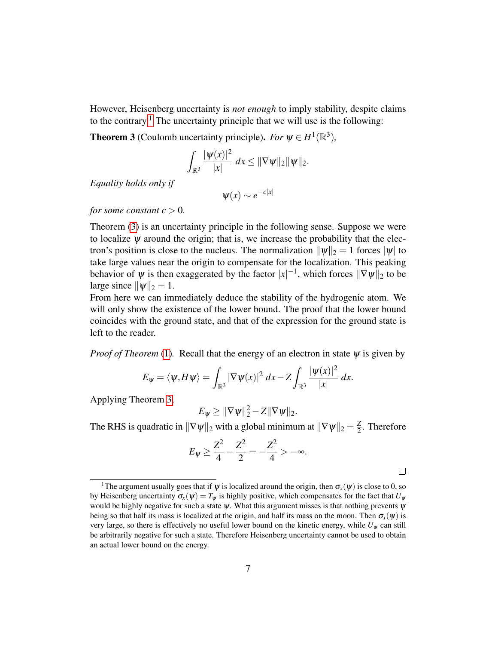However, Heisenberg uncertainty is *not enough* to imply stability, despite claims to the contrary.<sup>[1](#page-6-0)</sup> The uncertainty principle that we will use is the following:

<span id="page-6-1"></span>**Theorem 3** (Coulomb uncertainty principle). *For*  $\psi \in H^1(\mathbb{R}^3)$ ,

$$
\int_{\mathbb{R}^3} \frac{|\psi(x)|^2}{|x|} \, dx \le \|\nabla \psi\|_2 \|\psi\|_2.
$$

*Equality holds only if*

$$
\psi(x) \sim e^{-c|x|}
$$

*for some constant*  $c > 0$ *.* 

Theorem [\(3\)](#page-6-1) is an uncertainty principle in the following sense. Suppose we were to localize  $\psi$  around the origin; that is, we increase the probability that the electron's position is close to the nucleus. The normalization  $\|\psi\|_2 = 1$  forces  $|\psi|$  to take large values near the origin to compensate for the localization. This peaking behavior of  $\psi$  is then exaggerated by the factor  $|x|^{-1}$ , which forces  $\|\nabla\psi\|_2$  to be large since  $\|\psi\|_2 = 1$ .

From here we can immediately deduce the stability of the hydrogenic atom. We will only show the existence of the lower bound. The proof that the lower bound coincides with the ground state, and that of the expression for the ground state is left to the reader.

*Proof of Theorem* [\(1\)](#page-5-0). Recall that the energy of an electron in state  $\psi$  is given by

$$
E_{\psi} = \langle \psi, H\psi \rangle = \int_{\mathbb{R}^3} |\nabla \psi(x)|^2 dx - Z \int_{\mathbb{R}^3} \frac{|\psi(x)|^2}{|x|} dx.
$$

Applying Theorem [3,](#page-6-1)

$$
E_{\psi} \geq \|\nabla \psi\|_2^2 - Z \|\nabla \psi\|_2.
$$

The RHS is quadratic in  $\|\nabla \psi\|_2$  with a global minimum at  $\|\nabla \psi\|_2 = \frac{Z}{2}$  $\frac{2}{2}$ . Therefore

$$
E_{\psi} \ge \frac{Z^2}{4} - \frac{Z^2}{2} = -\frac{Z^2}{4} > -\infty.
$$

 $\Box$ 

<span id="page-6-0"></span><sup>&</sup>lt;sup>1</sup>The argument usually goes that if  $\psi$  is localized around the origin, then  $\sigma_x(\psi)$  is close to 0, so by Heisenberg uncertainty  $\sigma_x(\psi) = T_\psi$  is highly positive, which compensates for the fact that  $U_\psi$ would be highly negative for such a state  $\psi$ . What this argument misses is that nothing prevents  $\psi$ being so that half its mass is localized at the origin, and half its mass on the moon. Then  $\sigma_x(\psi)$  is very large, so there is effectively no useful lower bound on the kinetic energy, while  $U_w$  can still be arbitrarily negative for such a state. Therefore Heisenberg uncertainty cannot be used to obtain an actual lower bound on the energy.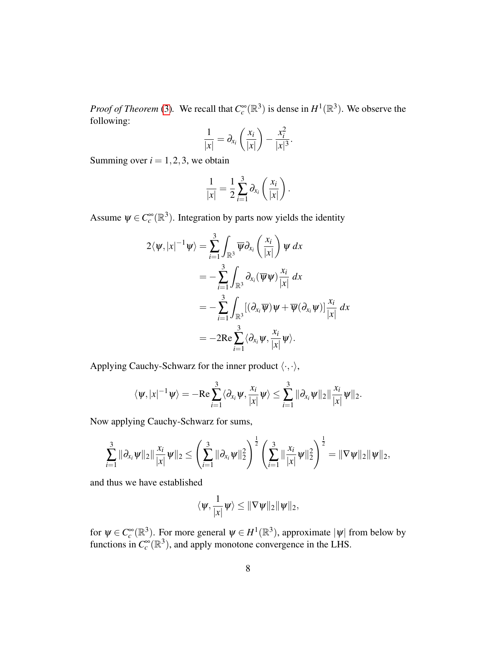*Proof of Theorem* [\(3\)](#page-6-1). We recall that  $C_c^{\infty}(\mathbb{R}^3)$  is dense in  $H^1(\mathbb{R}^3)$ . We observe the following:

$$
\frac{1}{|x|} = \partial_{x_i} \left( \frac{x_i}{|x|} \right) - \frac{x_i^2}{|x|^3}.
$$

Summing over  $i = 1, 2, 3$ , we obtain

$$
\frac{1}{|x|} = \frac{1}{2} \sum_{i=1}^{3} \partial_{x_i} \left( \frac{x_i}{|x|} \right).
$$

Assume  $\psi \in C_c^{\infty}(\mathbb{R}^3)$ . Integration by parts now yields the identity

$$
2\langle \psi, |x|^{-1} \psi \rangle = \sum_{i=1}^{3} \int_{\mathbb{R}^3} \overline{\psi} \partial_{x_i} \left( \frac{x_i}{|x|} \right) \psi \, dx
$$
  

$$
= -\sum_{i=1}^{3} \int_{\mathbb{R}^3} \partial_{x_i} (\overline{\psi} \psi) \frac{x_i}{|x|} \, dx
$$
  

$$
= -\sum_{i=1}^{3} \int_{\mathbb{R}^3} [(\partial_{x_i} \overline{\psi}) \psi + \overline{\psi} (\partial_{x_i} \psi)] \frac{x_i}{|x|} \, dx
$$
  

$$
= -2 \text{Re} \sum_{i=1}^{3} \langle \partial_{x_i} \psi, \frac{x_i}{|x|} \psi \rangle.
$$

Applying Cauchy-Schwarz for the inner product  $\langle \cdot, \cdot \rangle$ ,

$$
\langle \psi, |x|^{-1} \psi \rangle = - \text{Re} \sum_{i=1}^3 \langle \partial_{x_i} \psi, \frac{x_i}{|x|} \psi \rangle \leq \sum_{i=1}^3 \|\partial_{x_i} \psi \|_2 \|\frac{x_i}{|x|} \psi \|_2.
$$

Now applying Cauchy-Schwarz for sums,

$$
\sum_{i=1}^3 \|\partial_{x_i}\psi\|_2 \|\frac{x_i}{|x|}\psi\|_2 \leq \left(\sum_{i=1}^3 \|\partial_{x_i}\psi\|_2^2\right)^{\frac{1}{2}} \left(\sum_{i=1}^3 \|\frac{x_i}{|x|}\psi\|_2^2\right)^{\frac{1}{2}} = \|\nabla \psi\|_2 \|\psi\|_2,
$$

and thus we have established

$$
\langle \psi, \frac{1}{|x|} \psi \rangle \leq ||\nabla \psi||_2 ||\psi||_2,
$$

for  $\psi \in C_c^{\infty}(\mathbb{R}^3)$ . For more general  $\psi \in H^1(\mathbb{R}^3)$ , approximate  $|\psi|$  from below by functions in  $C_c^{\infty}(\mathbb{R}^3)$ , and apply monotone convergence in the LHS.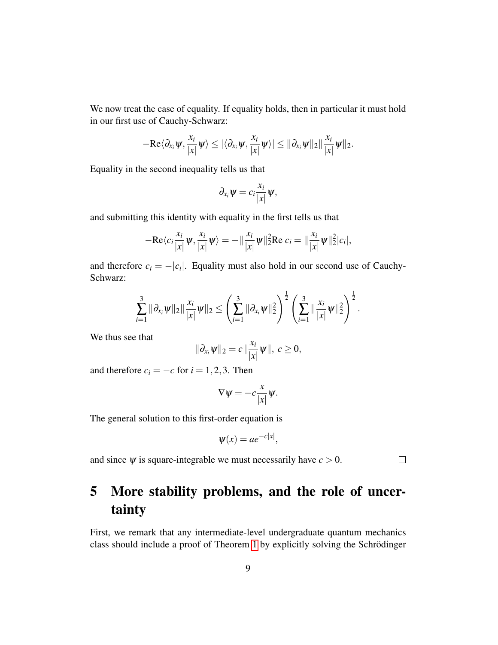We now treat the case of equality. If equality holds, then in particular it must hold in our first use of Cauchy-Schwarz:

$$
-\text{Re}\langle \partial_{x_i}\psi,\frac{x_i}{|x|}\psi\rangle\leq |\langle \partial_{x_i}\psi,\frac{x_i}{|x|}\psi\rangle|\leq ||\partial_{x_i}\psi||_2\|\frac{x_i}{|x|}\psi\|_2.
$$

Equality in the second inequality tells us that

$$
\partial_{x_i}\psi=c_i\frac{x_i}{|x|}\psi,
$$

and submitting this identity with equality in the first tells us that

$$
-\mathrm{Re}\langle c_i \frac{x_i}{|x|} \psi, \frac{x_i}{|x|} \psi \rangle = -\|\frac{x_i}{|x|} \psi\|_2^2 \mathrm{Re} \ c_i = \|\frac{x_i}{|x|} \psi\|_2^2 |c_i|,
$$

and therefore  $c_i = -|c_i|$ . Equality must also hold in our second use of Cauchy-Schwarz:

$$
\sum_{i=1}^3 \|\partial_{x_i}\psi\|_2 \|\frac{x_i}{|x|}\psi\|_2 \leq \left(\sum_{i=1}^3 \|\partial_{x_i}\psi\|_2^2\right)^{\frac{1}{2}} \left(\sum_{i=1}^3 \|\frac{x_i}{|x|}\psi\|_2^2\right)^{\frac{1}{2}}.
$$

We thus see that

$$
\|\partial_{x_i}\psi\|_2=c\|\frac{x_i}{|x|}\psi\|,\,c\geq 0,
$$

and therefore  $c_i = -c$  for  $i = 1, 2, 3$ . Then

$$
\nabla \psi = -c \frac{x}{|x|} \psi.
$$

The general solution to this first-order equation is

$$
\psi(x) = ae^{-c|x|},
$$

and since  $\psi$  is square-integrable we must necessarily have  $c > 0$ .

 $\Box$ 

## 5 More stability problems, and the role of uncertainty

First, we remark that any intermediate-level undergraduate quantum mechanics class should include a proof of Theorem [1](#page-5-0) by explicitly solving the Schrödinger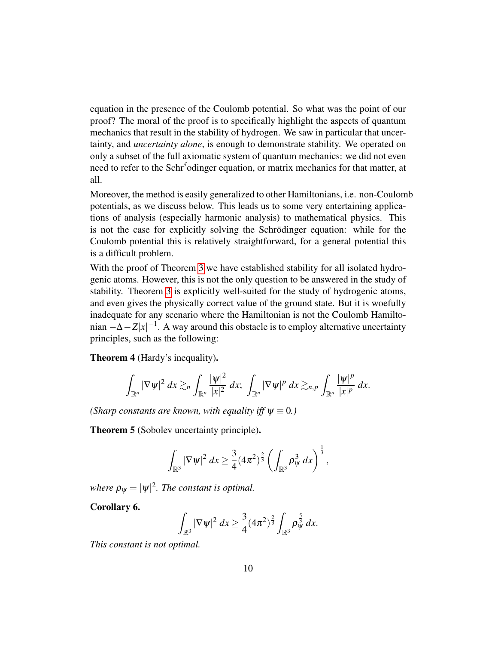equation in the presence of the Coulomb potential. So what was the point of our proof? The moral of the proof is to specifically highlight the aspects of quantum mechanics that result in the stability of hydrogen. We saw in particular that uncertainty, and *uncertainty alone*, is enough to demonstrate stability. We operated on only a subset of the full axiomatic system of quantum mechanics: we did not even need to refer to the Schr<sup>5</sup> odinger equation, or matrix mechanics for that matter, at all.

Moreover, the method is easily generalized to other Hamiltonians, i.e. non-Coulomb potentials, as we discuss below. This leads us to some very entertaining applications of analysis (especially harmonic analysis) to mathematical physics. This is not the case for explicitly solving the Schrödinger equation: while for the Coulomb potential this is relatively straightforward, for a general potential this is a difficult problem.

With the proof of Theorem [3](#page-6-1) we have established stability for all isolated hydrogenic atoms. However, this is not the only question to be answered in the study of stability. Theorem [3](#page-6-1) is explicitly well-suited for the study of hydrogenic atoms, and even gives the physically correct value of the ground state. But it is woefully inadequate for any scenario where the Hamiltonian is not the Coulomb Hamiltonian  $-\Delta - Z|x|^{-1}$ . A way around this obstacle is to employ alternative uncertainty principles, such as the following:

Theorem 4 (Hardy's inequality).

$$
\int_{\mathbb{R}^n}|\nabla\psi|^2\ dx \gtrsim_n \int_{\mathbb{R}^n} \frac{|\psi|^2}{|x|^2}\ dx;\ \int_{\mathbb{R}^n}|\nabla\psi|^p\ dx \gtrsim_{n,p} \int_{\mathbb{R}^n} \frac{|\psi|^p}{|x|^p}\ dx.
$$

*(Sharp constants are known, with equality iff*  $\psi \equiv 0$ *.)* 

<span id="page-9-1"></span>Theorem 5 (Sobolev uncertainty principle).

$$
\int_{\mathbb{R}^3} |\nabla \psi|^2 dx \geq \frac{3}{4} (4\pi^2)^{\frac{2}{3}} \left( \int_{\mathbb{R}^3} \rho_\psi^3 dx \right)^{\frac{1}{3}},
$$

where  $\rho_{\psi} = |\psi|^2$ . The constant is optimal.

<span id="page-9-0"></span>Corollary 6.

$$
\int_{\mathbb{R}^3} |\nabla \psi|^2 dx \geq \frac{3}{4} (4\pi^2)^{\frac{2}{3}} \int_{\mathbb{R}^3} \rho_{\psi}^{\frac{5}{3}} dx.
$$

*This constant is not optimal.*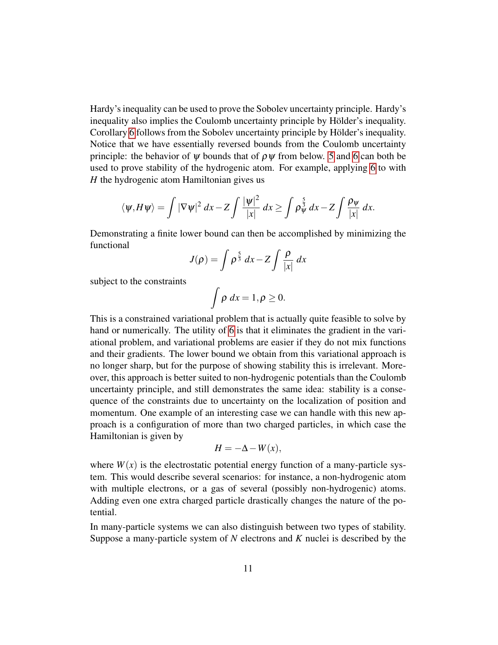Hardy's inequality can be used to prove the Sobolev uncertainty principle. Hardy's inequality also implies the Coulomb uncertainty principle by Hölder's inequality. Corollary [6](#page-9-0) follows from the Sobolev uncertainty principle by Hölder's inequality. Notice that we have essentially reversed bounds from the Coulomb uncertainty principle: the behavior of  $\psi$  bounds that of  $\rho \psi$  from below. [5](#page-9-1) and [6](#page-9-0) can both be used to prove stability of the hydrogenic atom. For example, applying [6](#page-9-0) to with *H* the hydrogenic atom Hamiltonian gives us

$$
\langle \psi, H\psi \rangle = \int |\nabla \psi|^2 dx - Z \int \frac{|\psi|^2}{|x|} dx \ge \int \rho_{\psi}^{\frac{5}{3}} dx - Z \int \frac{\rho_{\psi}}{|x|} dx.
$$

Demonstrating a finite lower bound can then be accomplished by minimizing the functional

$$
J(\rho) = \int \rho^{\frac{5}{3}} dx - Z \int \frac{\rho}{|x|} dx
$$

subject to the constraints

$$
\int \rho \ dx = 1, \rho \ge 0.
$$

This is a constrained variational problem that is actually quite feasible to solve by hand or numerically. The utility of [6](#page-9-0) is that it eliminates the gradient in the variational problem, and variational problems are easier if they do not mix functions and their gradients. The lower bound we obtain from this variational approach is no longer sharp, but for the purpose of showing stability this is irrelevant. Moreover, this approach is better suited to non-hydrogenic potentials than the Coulomb uncertainty principle, and still demonstrates the same idea: stability is a consequence of the constraints due to uncertainty on the localization of position and momentum. One example of an interesting case we can handle with this new approach is a configuration of more than two charged particles, in which case the Hamiltonian is given by

$$
H = -\Delta - W(x),
$$

where  $W(x)$  is the electrostatic potential energy function of a many-particle system. This would describe several scenarios: for instance, a non-hydrogenic atom with multiple electrons, or a gas of several (possibly non-hydrogenic) atoms. Adding even one extra charged particle drastically changes the nature of the potential.

In many-particle systems we can also distinguish between two types of stability. Suppose a many-particle system of *N* electrons and *K* nuclei is described by the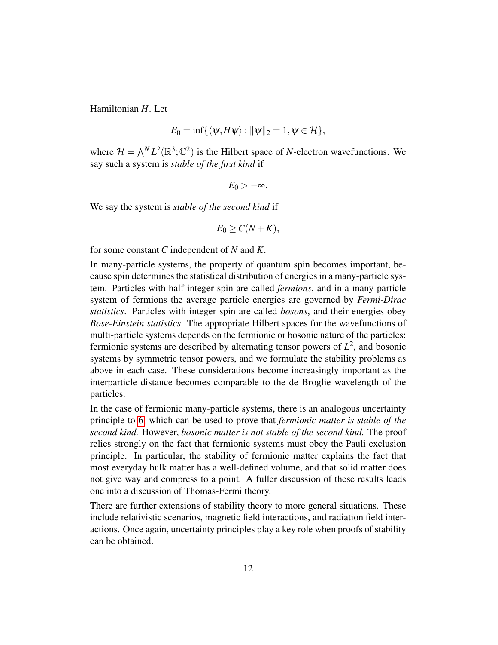Hamiltonian *H*. Let

$$
E_0 = \inf \{ \langle \psi, H\psi \rangle : ||\psi||_2 = 1, \psi \in \mathcal{H} \},
$$

where  $\mathcal{H} = \bigwedge^N L^2(\mathbb{R}^3; \mathbb{C}^2)$  is the Hilbert space of *N*-electron wavefunctions. We say such a system is *stable of the first kind* if

$$
E_0>-\infty.
$$

We say the system is *stable of the second kind* if

$$
E_0 \geq C(N+K),
$$

for some constant *C* independent of *N* and *K*.

In many-particle systems, the property of quantum spin becomes important, because spin determines the statistical distribution of energies in a many-particle system. Particles with half-integer spin are called *fermions*, and in a many-particle system of fermions the average particle energies are governed by *Fermi-Dirac statistics*. Particles with integer spin are called *bosons*, and their energies obey *Bose-Einstein statistics*. The appropriate Hilbert spaces for the wavefunctions of multi-particle systems depends on the fermionic or bosonic nature of the particles: fermionic systems are described by alternating tensor powers of  $L^2$ , and bosonic systems by symmetric tensor powers, and we formulate the stability problems as above in each case. These considerations become increasingly important as the interparticle distance becomes comparable to the de Broglie wavelength of the particles.

In the case of fermionic many-particle systems, there is an analogous uncertainty principle to [6,](#page-9-0) which can be used to prove that *fermionic matter is stable of the second kind.* However, *bosonic matter is not stable of the second kind.* The proof relies strongly on the fact that fermionic systems must obey the Pauli exclusion principle. In particular, the stability of fermionic matter explains the fact that most everyday bulk matter has a well-defined volume, and that solid matter does not give way and compress to a point. A fuller discussion of these results leads one into a discussion of Thomas-Fermi theory.

There are further extensions of stability theory to more general situations. These include relativistic scenarios, magnetic field interactions, and radiation field interactions. Once again, uncertainty principles play a key role when proofs of stability can be obtained.